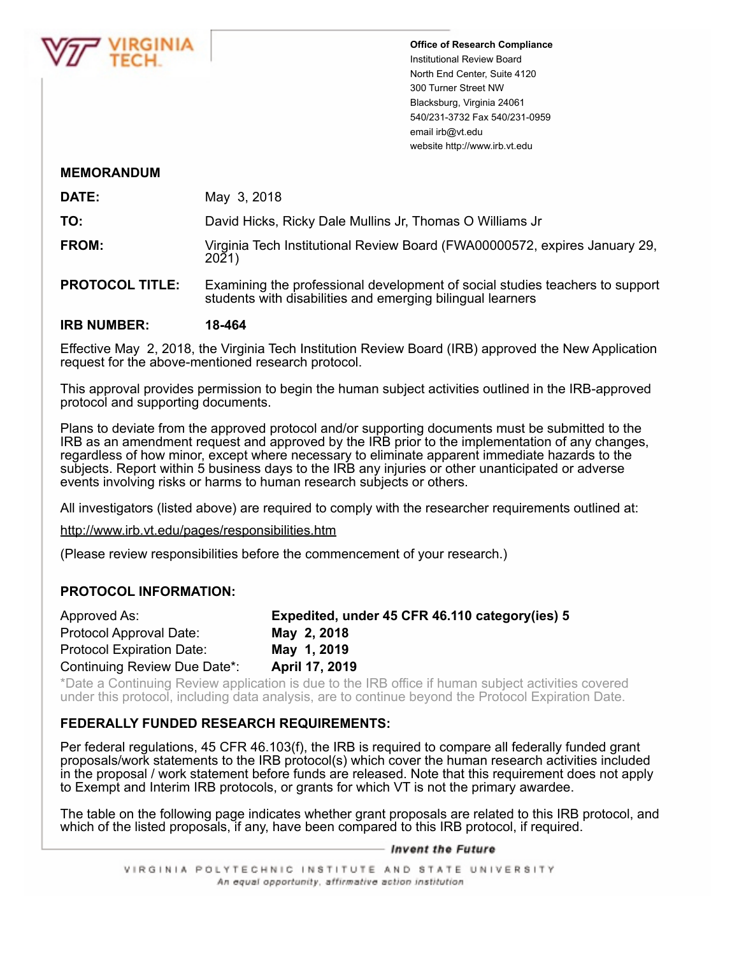

**Office of Research Compliance** Institutional Review Board North End Center, Suite 4120 300 Turner Street NW Blacksburg, Virginia 24061 540/231-3732 Fax 540/231-0959 email irb@vt.edu website http://www.irb.vt.edu

# **MEMORANDUM**

| <b>DATE:</b> | May 3, 2018                                                                         |
|--------------|-------------------------------------------------------------------------------------|
| TO:          | David Hicks, Ricky Dale Mullins Jr, Thomas O Williams Jr                            |
| FROM:        | Virginia Tech Institutional Review Board (FWA00000572, expires January 29,<br>2021) |

**PROTOCOL TITLE:** Examining the professional development of social studies teachers to support students with disabilities and emerging bilingual learners

### **IRB NUMBER: 18-464**

Effective May 2, 2018, the Virginia Tech Institution Review Board (IRB) approved the New Application request for the above-mentioned research protocol.

This approval provides permission to begin the human subject activities outlined in the IRB-approved protocol and supporting documents.

Plans to deviate from the approved protocol and/or supporting documents must be submitted to the IRB as an amendment request and approved by the IRB prior to the implementation of any changes, regardless of how minor, except where necessary to eliminate apparent immediate hazards to the subjects. Report within 5 business days to the IRB any injuries or other unanticipated or adverse events involving risks or harms to human research subjects or others.

All investigators (listed above) are required to comply with the researcher requirements outlined at:

http://www.irb.vt.edu/pages/responsibilities.htm

(Please review responsibilities before the commencement of your research.)

# **PROTOCOL INFORMATION:**

| Approved As:                     | Expedited, under 45 CFR 46.110 category (ies) 5 |
|----------------------------------|-------------------------------------------------|
| Protocol Approval Date:          | May 2, 2018                                     |
| <b>Protocol Expiration Date:</b> | May 1, 2019                                     |
| Continuing Review Due Date*:     | April 17, 2019                                  |

\*Date a Continuing Review application is due to the IRB office if human subject activities covered under this protocol, including data analysis, are to continue beyond the Protocol Expiration Date.

# **FEDERALLY FUNDED RESEARCH REQUIREMENTS:**

Per federal regulations, 45 CFR 46.103(f), the IRB is required to compare all federally funded grant proposals/work statements to the IRB protocol(s) which cover the human research activities included in the proposal / work statement before funds are released. Note that this requirement does not apply to Exempt and Interim IRB protocols, or grants for which VT is not the primary awardee.

The table on the following page indicates whether grant proposals are related to this IRB protocol, and which of the listed proposals, if any, have been compared to this IRB protocol, if required.

### — Invent the Future